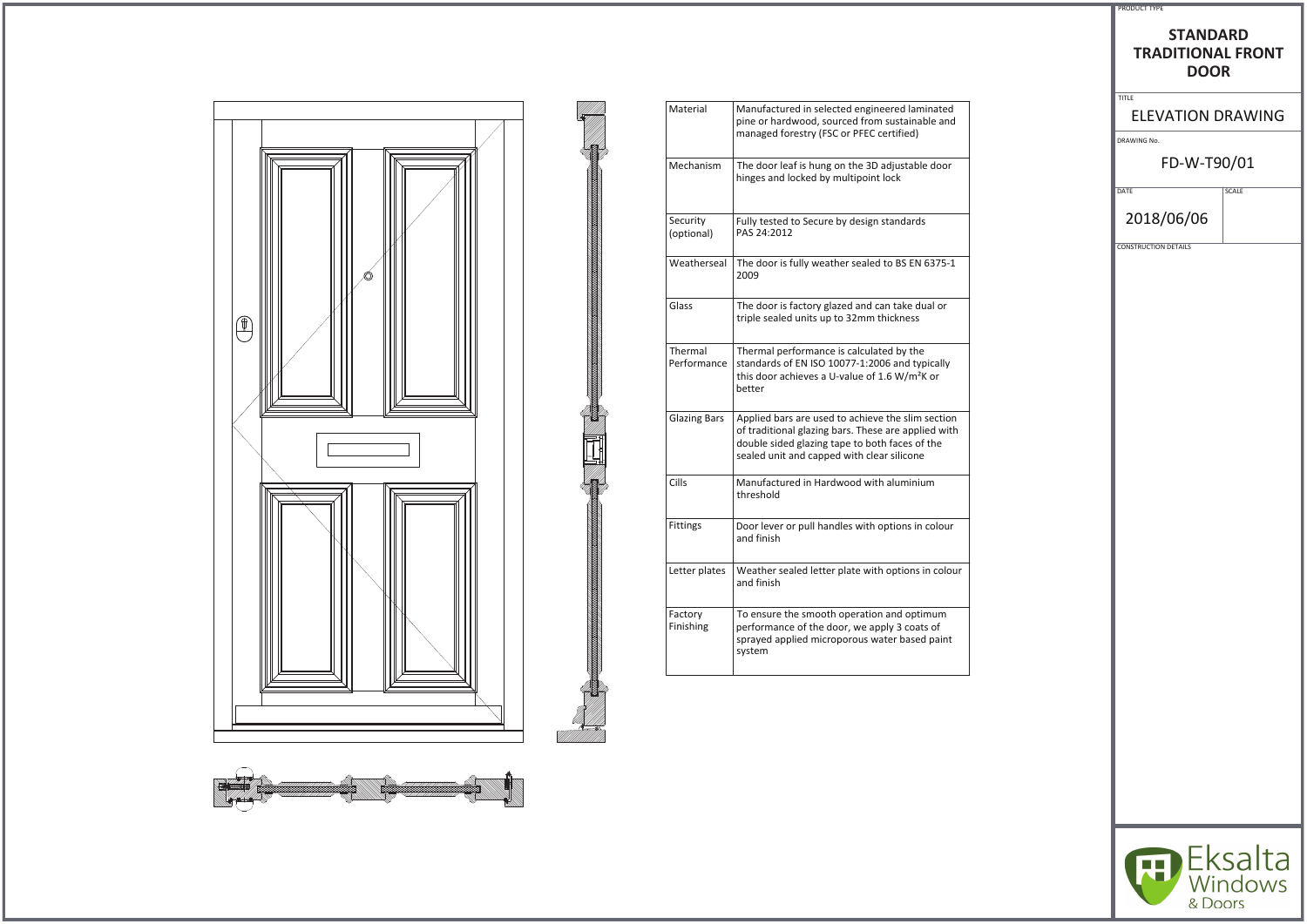

Ī.



| Manufactured in selected engineered laminated<br>pine or hardwood, sourced from sustainable and<br>managed forestry (FSC or PFEC certified)                                                              |
|----------------------------------------------------------------------------------------------------------------------------------------------------------------------------------------------------------|
| The door leaf is hung on the 3D adjustable door<br>hinges and locked by multipoint lock                                                                                                                  |
| Fully tested to Secure by design standards<br>PAS 24:2012                                                                                                                                                |
| The door is fully weather sealed to BS EN 6375-1<br>2009                                                                                                                                                 |
| The door is factory glazed and can take dual or<br>triple sealed units up to 32mm thickness                                                                                                              |
| Thermal performance is calculated by the<br>standards of EN ISO 10077-1:2006 and typically<br>this door achieves a U-value of 1.6 W/m <sup>2</sup> K or<br>better                                        |
| Applied bars are used to achieve the slim section<br>of traditional glazing bars. These are applied with<br>double sided glazing tape to both faces of the<br>sealed unit and capped with clear silicone |
| Manufactured in Hardwood with aluminium<br>threshold                                                                                                                                                     |
| Door lever or pull handles with options in colour<br>and finish                                                                                                                                          |
| Weather sealed letter plate with options in colour<br>and finish                                                                                                                                         |
| To ensure the smooth operation and optimum<br>performance of the door, we apply 3 coats of<br>sprayed applied microporous water based paint<br>system                                                    |
|                                                                                                                                                                                                          |

## STANDARD **TRADITIONAL&ZKEd DOOR**

ELEVATION DRAWING

DRAWING No.

PRODUCT TYPE

TITLE

## FD-W-T90/01

DATE SCALE 2018/06/06

CONSTRUCTION DETAILS

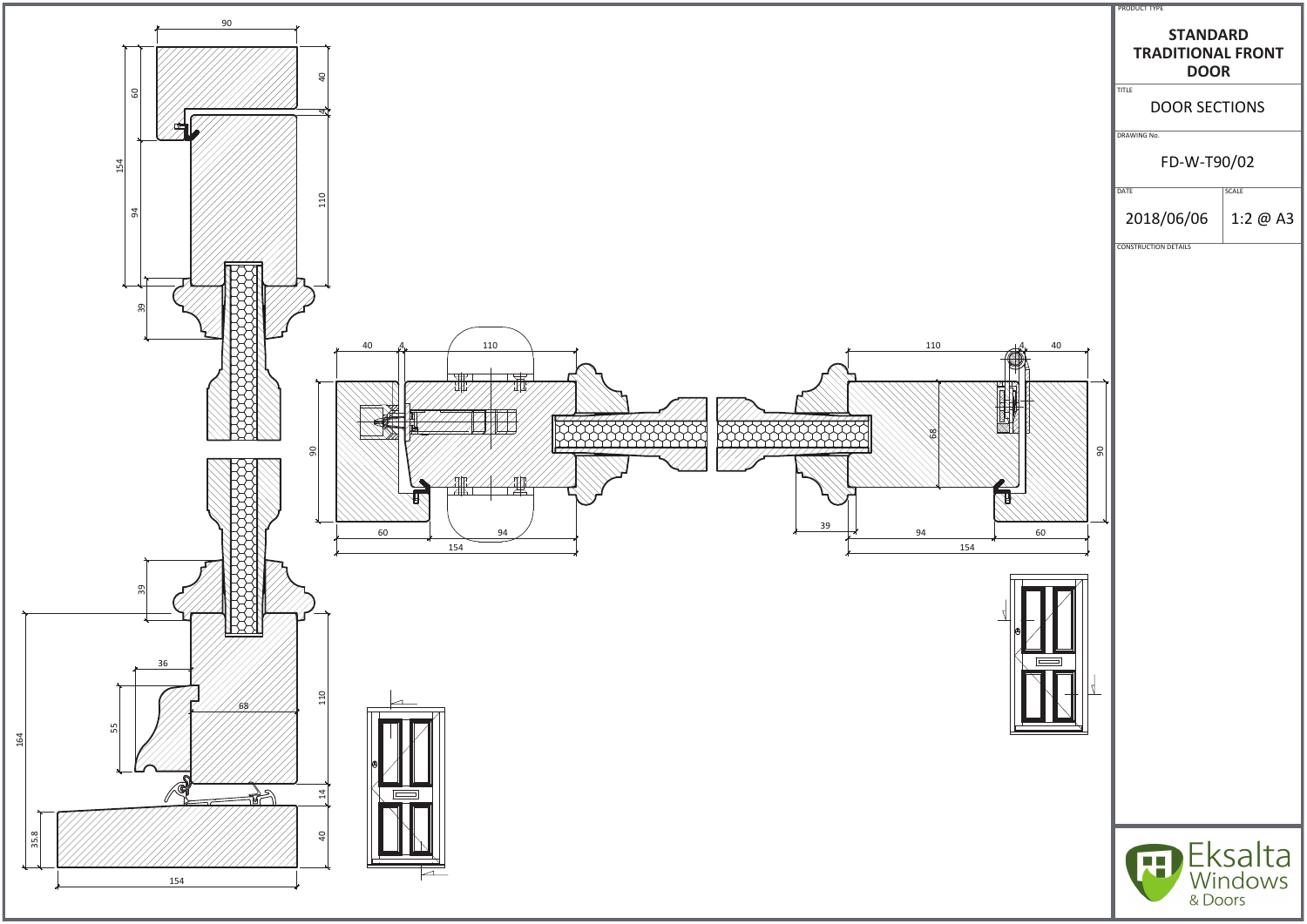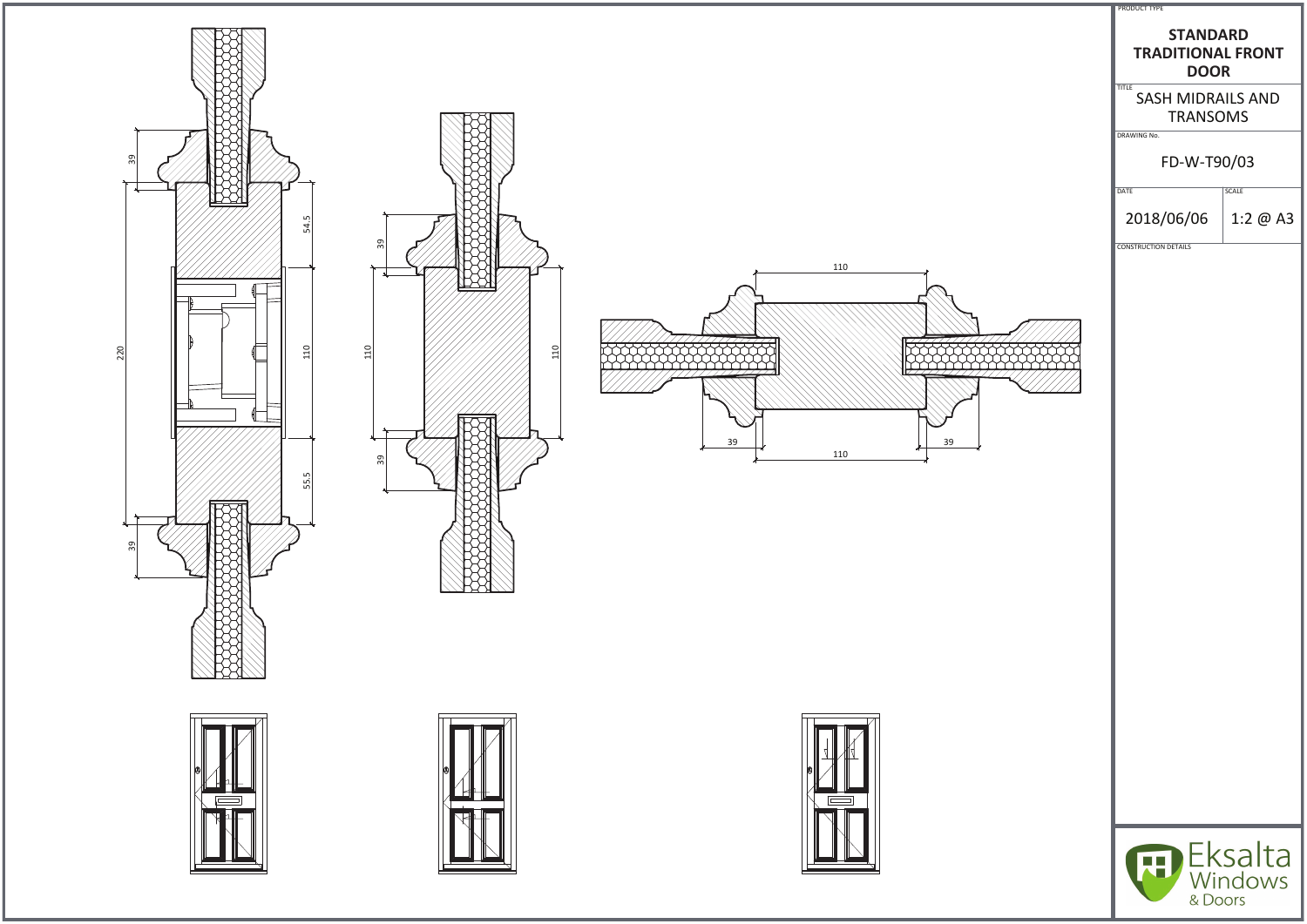